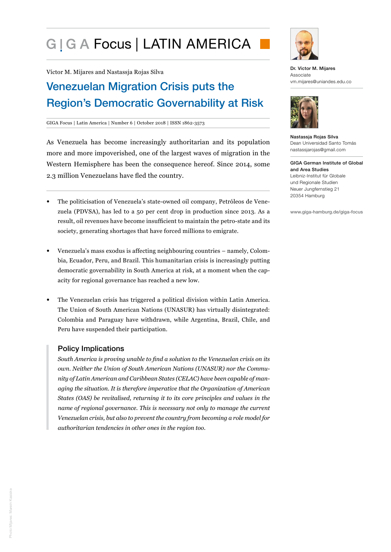# G I G A Focus | LATIN AMERICA

Víctor M. Mijares and Nastassja Rojas Silva

## Venezuelan Migration Crisis puts the Region's Democratic Governability at Risk

#### GIGA Focus | Latin America | Number 6 | October 2018 | ISSN 1862-3573

As Venezuela has become increasingly authoritarian and its population more and more impoverished, one of the largest waves of migration in the Western Hemisphere has been the consequence hereof. Since 2014, some 2.3 million Venezuelans have fled the country.

- The politicisation of Venezuela's state-owned oil company, Petróleos de Venezuela (PDVSA), has led to a 50 per cent drop in production since 2013. As a result, oil revenues have become insufficient to maintain the petro-state and its society, generating shortages that have forced millions to emigrate.
- Venezuela's mass exodus is affecting neighbouring countries namely, Colombia, Ecuador, Peru, and Brazil. This humanitarian crisis is increasingly putting democratic governability in South America at risk, at a moment when the capacity for regional governance has reached a new low.
- The Venezuelan crisis has triggered a political division within Latin America. The Union of South American Nations (UNASUR) has virtually disintegrated: Colombia and Paraguay have withdrawn, while Argentina, Brazil, Chile, and Peru have suspended their participation.

## Policy Implications

*South America is proving unable to find a solution to the Venezuelan crisis on its own. Neither the Union of South American Nations (UNASUR) nor the Community of Latin American and Caribbean States (CELAC) have been capable of managing the situation. It is therefore imperative that the Organization of American States (OAS) be revitalised, returning it to its core principles and values in the name of regional governance. This is necessary not only to manage the current Venezuelan crisis, but also to prevent the country from becoming a role model for authoritarian tendencies in other ones in the region too.*



Dr. Víctor M. Mijares Associate vm.mijares@uniandes.edu.co



Nastassja Rojas Silva Dean Universidad Santo Tomás nastassjarojas@gmail.com

GIGA German Institute of Global and Area Studies Leibniz-Institut für Globale und Regionale Studien Neuer Jungfernstieg 21 20354 Hamburg

www.giga-hamburg.de/giga-focus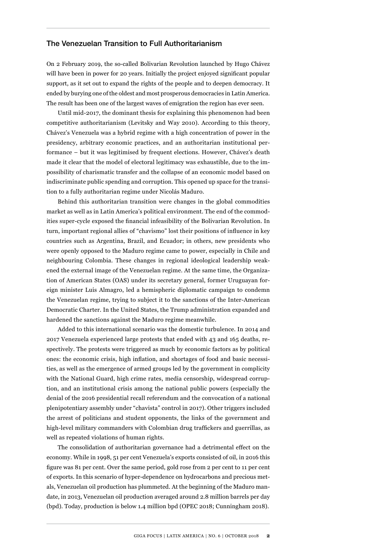## The Venezuelan Transition to Full Authoritarianism

On 2 February 2019, the so-called Bolivarian Revolution launched by Hugo Chávez will have been in power for 20 years. Initially the project enjoyed significant popular support, as it set out to expand the rights of the people and to deepen democracy. It ended by burying one of the oldest and most prosperous democracies in Latin America. The result has been one of the largest waves of emigration the region has ever seen.

Until mid-2017, the dominant thesis for explaining this phenomenon had been competitive authoritarianism (Levitsky and Way 2010). According to this theory, Chávez's Venezuela was a hybrid regime with a high concentration of power in the presidency, arbitrary economic practices, and an authoritarian institutional performance – but it was legitimised by frequent elections. However, Chávez's death made it clear that the model of electoral legitimacy was exhaustible, due to the impossibility of charismatic transfer and the collapse of an economic model based on indiscriminate public spending and corruption. This opened up space for the transition to a fully authoritarian regime under Nicolás Maduro.

Behind this authoritarian transition were changes in the global commodities market as well as in Latin America's political environment. The end of the commodities super-cycle exposed the financial infeasibility of the Bolivarian Revolution. In turn, important regional allies of "chavismo" lost their positions of influence in key countries such as Argentina, Brazil, and Ecuador; in others, new presidents who were openly opposed to the Maduro regime came to power, especially in Chile and neighbouring Colombia. These changes in regional ideological leadership weakened the external image of the Venezuelan regime. At the same time, the Organization of American States (OAS) under its secretary general, former Uruguayan foreign minister Luis Almagro, led a hemispheric diplomatic campaign to condemn the Venezuelan regime, trying to subject it to the sanctions of the Inter-American Democratic Charter. In the United States, the Trump administration expanded and hardened the sanctions against the Maduro regime meanwhile.

Added to this international scenario was the domestic turbulence. In 2014 and 2017 Venezuela experienced large protests that ended with 43 and 165 deaths, respectively. The protests were triggered as much by economic factors as by political ones: the economic crisis, high inflation, and shortages of food and basic necessities, as well as the emergence of armed groups led by the government in complicity with the National Guard, high crime rates, media censorship, widespread corruption, and an institutional crisis among the national public powers (especially the denial of the 2016 presidential recall referendum and the convocation of a national plenipotentiary assembly under "chavista" control in 2017). Other triggers included the arrest of politicians and student opponents, the links of the government and high-level military commanders with Colombian drug traffickers and guerrillas, as well as repeated violations of human rights.

The consolidation of authoritarian governance had a detrimental effect on the economy. While in 1998, 51 per cent Venezuela's exports consisted of oil, in 2016 this figure was 81 per cent. Over the same period, gold rose from 2 per cent to 11 per cent of exports. In this scenario of hyper-dependence on hydrocarbons and precious metals, Venezuelan oil production has plummeted. At the beginning of the Maduro mandate, in 2013, Venezuelan oil production averaged around 2.8 million barrels per day (bpd). Today, production is below 1.4 million bpd (OPEC 2018; Cunningham 2018).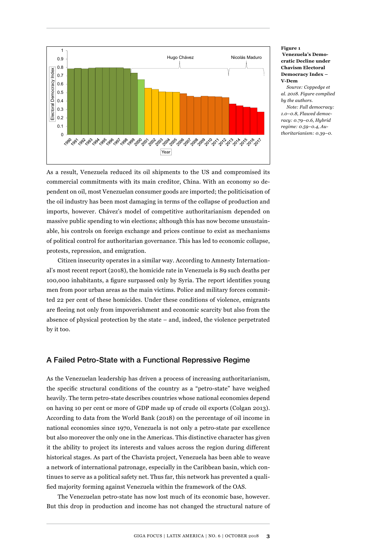

**Figure 1 Venezuela's Democratic Decline under Chavism Electoral Democracy Index – V-Dem**

*Source: Coppedge et al. 2018. Figure complied by the authors.*

*Note: Full democracy: 1.0–0.8, Flawed democracy: 0.79–0.6, Hybrid regime: 0.59–0.4, Au-*

As a result, Venezuela reduced its oil shipments to the US and compromised its commercial commitments with its main creditor, China. With an economy so dependent on oil, most Venezuelan consumer goods are imported; the politicisation of the oil industry has been most damaging in terms of the collapse of production and imports, however. Chávez's model of competitive authoritarianism depended on massive public spending to win elections; although this has now become unsustainable, his controls on foreign exchange and prices continue to exist as mechanisms of political control for authoritarian governance. This has led to economic collapse, protests, repression, and emigration.

Citizen insecurity operates in a similar way. According to Amnesty International's most recent report (2018), the homicide rate in Venezuela is 89 such deaths per 100,000 inhabitants, a figure surpassed only by Syria. The report identifies young men from poor urban areas as the main victims. Police and military forces committed 22 per cent of these homicides. Under these conditions of violence, emigrants are fleeing not only from impoverishment and economic scarcity but also from the absence of physical protection by the state – and, indeed, the violence perpetrated by it too.

## A Failed Petro-State with a Functional Repressive Regime

As the Venezuelan leadership has driven a process of increasing authoritarianism, the specific structural conditions of the country as a "petro-state" have weighed heavily. The term petro-state describes countries whose national economies depend on having 10 per cent or more of GDP made up of crude oil exports (Colgan 2013). According to data from the World Bank (2018) on the percentage of oil income in national economies since 1970, Venezuela is not only a petro-state par excellence but also moreover the only one in the Americas. This distinctive character has given it the ability to project its interests and values across the region during different historical stages. As part of the Chavista project, Venezuela has been able to weave a network of international patronage, especially in the Caribbean basin, which continues to serve as a political safety net. Thus far, this network has prevented a qualified majority forming against Venezuela within the framework of the OAS.

The Venezuelan petro-state has now lost much of its economic base, however. But this drop in production and income has not changed the structural nature of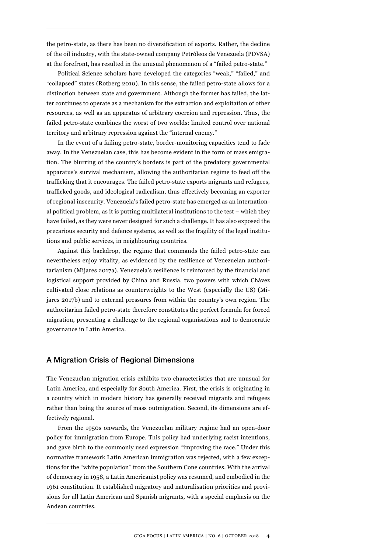the petro-state, as there has been no diversification of exports. Rather, the decline of the oil industry, with the state-owned company Petróleos de Venezuela (PDVSA) at the forefront, has resulted in the unusual phenomenon of a "failed petro-state."

Political Science scholars have developed the categories "weak," "failed," and "collapsed" states (Rotberg 2010). In this sense, the failed petro-state allows for a distinction between state and government. Although the former has failed, the latter continues to operate as a mechanism for the extraction and exploitation of other resources, as well as an apparatus of arbitrary coercion and repression. Thus, the failed petro-state combines the worst of two worlds: limited control over national territory and arbitrary repression against the "internal enemy."

In the event of a failing petro-state, border-monitoring capacities tend to fade away. In the Venezuelan case, this has become evident in the form of mass emigration. The blurring of the country's borders is part of the predatory governmental apparatus's survival mechanism, allowing the authoritarian regime to feed off the trafficking that it encourages. The failed petro-state exports migrants and refugees, trafficked goods, and ideological radicalism, thus effectively becoming an exporter of regional insecurity. Venezuela's failed petro-state has emerged as an international political problem, as it is putting multilateral institutions to the test – which they have failed, as they were never designed for such a challenge. It has also exposed the precarious security and defence systems, as well as the fragility of the legal institutions and public services, in neighbouring countries.

Against this backdrop, the regime that commands the failed petro-state can nevertheless enjoy vitality, as evidenced by the resilience of Venezuelan authoritarianism (Mijares 2017a). Venezuela's resilience is reinforced by the financial and logistical support provided by China and Russia, two powers with which Chávez cultivated close relations as counterweights to the West (especially the US) (Mijares 2017b) and to external pressures from within the country's own region. The authoritarian failed petro-state therefore constitutes the perfect formula for forced migration, presenting a challenge to the regional organisations and to democratic governance in Latin America.

## A Migration Crisis of Regional Dimensions

The Venezuelan migration crisis exhibits two characteristics that are unusual for Latin America, and especially for South America. First, the crisis is originating in a country which in modern history has generally received migrants and refugees rather than being the source of mass outmigration. Second, its dimensions are effectively regional.

From the 1950s onwards, the Venezuelan military regime had an open-door policy for immigration from Europe. This policy had underlying racist intentions, and gave birth to the commonly used expression "improving the race." Under this normative framework Latin American immigration was rejected, with a few exceptions for the "white population" from the Southern Cone countries. With the arrival of democracy in 1958, a Latin Americanist policy was resumed, and embodied in the 1961 constitution. It established migratory and naturalisation priorities and provisions for all Latin American and Spanish migrants, with a special emphasis on the Andean countries.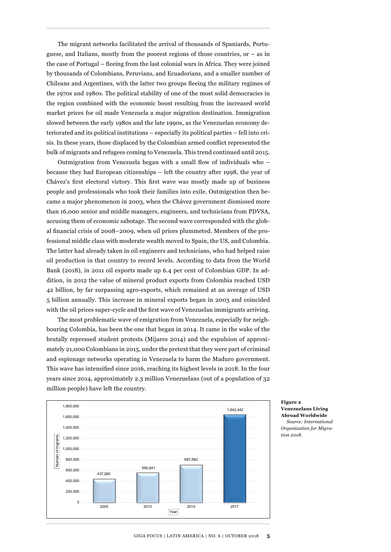The migrant networks facilitated the arrival of thousands of Spaniards, Portuguese, and Italians, mostly from the poorest regions of those countries, or – as in the case of Portugal – fleeing from the last colonial wars in Africa. They were joined by thousands of Colombians, Peruvians, and Ecuadorians, and a smaller number of Chileans and Argentines, with the latter two groups fleeing the military regimes of the 1970s and 1980s. The political stability of one of the most solid democracies in the region combined with the economic boost resulting from the increased world market prices for oil made Venezuela a major migration destination. Immigration slowed between the early 1980s and the late 1990s, as the Venezuelan economy deteriorated and its political institutions – especially its political parties – fell into crisis. In these years, those displaced by the Colombian armed conflict represented the bulk of migrants and refugees coming to Venezuela. This trend continued until 2015.

Outmigration from Venezuela began with a small flow of individuals who – because they had European citizenships – left the country after 1998, the year of Chávez's first electoral victory. This first wave was mostly made up of business people and professionals who took their families into exile. Outmigration then became a major phenomenon in 2003, when the Chávez government dismissed more than 16,000 senior and middle managers, engineers, and technicians from PDVSA, accusing them of economic sabotage. The second wave corresponded with the global financial crisis of 2008–2009, when oil prices plummeted. Members of the professional middle class with moderate wealth moved to Spain, the US, and Colombia. The latter had already taken in oil engineers and technicians, who had helped raise oil production in that country to record levels. According to data from the World Bank (2018), in 2011 oil exports made up 6.4 per cent of Colombian GDP. In addition, in 2012 the value of mineral product exports from Colombia reached USD 42 billion, by far surpassing agro-exports, which remained at an average of USD 5 billion annually. This increase in mineral exports began in 2003 and coincided with the oil prices super-cycle and the first wave of Venezuelan immigrants arriving.

The most problematic wave of emigration from Venezuela, especially for neighbouring Colombia, has been the one that began in 2014. It came in the wake of the brutally repressed student protests (Mijares 2014) and the expulsion of approximately 21,000 Colombians in 2015, under the pretext that they were part of criminal and espionage networks operating in Venezuela to harm the Maduro government. This wave has intensified since 2016, reaching its highest levels in 2018. In the four years since 2014, approximately 2.3 million Venezuelans (out of a population of 32 million people) have left the country.



**Figure 2 Venezuelans Living Abroad Worldwide** *Source: International Organization for Migra-*

*tion 2018.*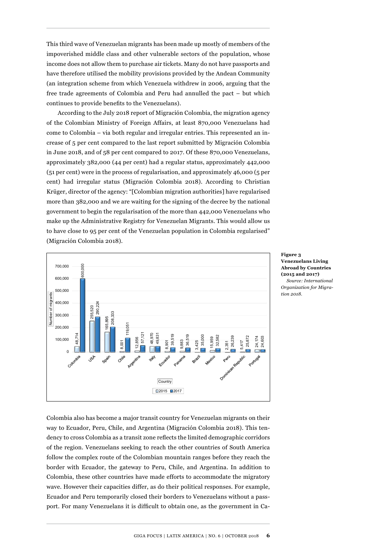This third wave of Venezuelan migrants has been made up mostly of members of the impoverished middle class and other vulnerable sectors of the population, whose income does not allow them to purchase air tickets. Many do not have passports and have therefore utilised the mobility provisions provided by the Andean Community (an integration scheme from which Venezuela withdrew in 2006, arguing that the free trade agreements of Colombia and Peru had annulled the pact – but which continues to provide benefits to the Venezuelans).

According to the July 2018 report of Migración Colombia, the migration agency of the Colombian Ministry of Foreign Affairs, at least 870,000 Venezuelans had come to Colombia – via both regular and irregular entries. This represented an increase of 5 per cent compared to the last report submitted by Migración Colombia in June 2018, and of 58 per cent compared to 2017. Of these 870,000 Venezuelans, approximately 382,000 (44 per cent) had a regular status, approximately 442,000 (51 per cent) were in the process of regularisation, and approximately 46,000 (5 per cent) had irregular status (Migración Colombia 2018). According to Christian Krüger, director of the agency: "[Colombian migration authorities] have regularised more than 382,000 and we are waiting for the signing of the decree by the national government to begin the regularisation of the more than 442,000 Venezuelans who make up the Administrative Registry for Venezuelan Migrants. This would allow us to have close to 95 per cent of the Venezuelan population in Colombia regularised" (Migración Colombia 2018).



**Figure 3 Venezuelans Living Abroad by Countries (2015 and 2017)** *Source: International Organization for Migration 2018.*

Colombia also has become a major transit country for Venezuelan migrants on their way to Ecuador, Peru, Chile, and Argentina (Migración Colombia 2018). This tendency to cross Colombia as a transit zone reflects the limited demographic corridors of the region. Venezuelans seeking to reach the other countries of South America follow the complex route of the Colombian mountain ranges before they reach the border with Ecuador, the gateway to Peru, Chile, and Argentina. In addition to Colombia, these other countries have made efforts to accommodate the migratory wave. However their capacities differ, as do their political responses. For example, Ecuador and Peru temporarily closed their borders to Venezuelans without a passport. For many Venezuelans it is difficult to obtain one, as the government in Ca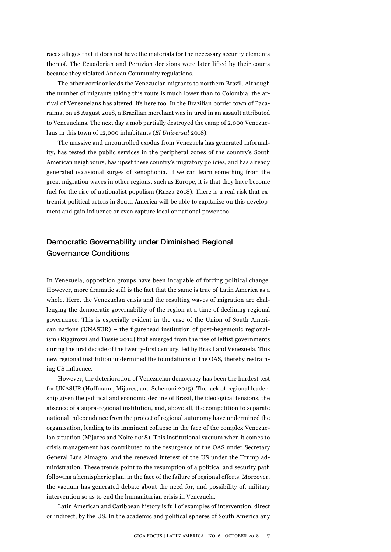racas alleges that it does not have the materials for the necessary security elements thereof. The Ecuadorian and Peruvian decisions were later lifted by their courts because they violated Andean Community regulations.

The other corridor leads the Venezuelan migrants to northern Brazil. Although the number of migrants taking this route is much lower than to Colombia, the arrival of Venezuelans has altered life here too. In the Brazilian border town of Pacaraima, on 18 August 2018, a Brazilian merchant was injured in an assault attributed to Venezuelans. The next day a mob partially destroyed the camp of 2,000 Venezuelans in this town of 12,000 inhabitants (*El Universal* 2018).

The massive and uncontrolled exodus from Venezuela has generated informality, has tested the public services in the peripheral zones of the country's South American neighbours, has upset these country's migratory policies, and has already generated occasional surges of xenophobia. If we can learn something from the great migration waves in other regions, such as Europe, it is that they have become fuel for the rise of nationalist populism (Ruzza 2018). There is a real risk that extremist political actors in South America will be able to capitalise on this development and gain influence or even capture local or national power too.

## Democratic Governability under Diminished Regional Governance Conditions

In Venezuela, opposition groups have been incapable of forcing political change. However, more dramatic still is the fact that the same is true of Latin America as a whole. Here, the Venezuelan crisis and the resulting waves of migration are challenging the democratic governability of the region at a time of declining regional governance. This is especially evident in the case of the Union of South American nations (UNASUR) – the figurehead institution of post-hegemonic regionalism (Riggirozzi and Tussie 2012) that emerged from the rise of leftist governments during the first decade of the twenty-first century, led by Brazil and Venezuela. This new regional institution undermined the foundations of the OAS, thereby restraining US influence.

However, the deterioration of Venezuelan democracy has been the hardest test for UNASUR (Hoffmann, Mijares, and Schenoni 2015). The lack of regional leadership given the political and economic decline of Brazil, the ideological tensions, the absence of a supra-regional institution, and, above all, the competition to separate national independence from the project of regional autonomy have undermined the organisation, leading to its imminent collapse in the face of the complex Venezuelan situation (Mijares and Nolte 2018). This institutional vacuum when it comes to crisis management has contributed to the resurgence of the OAS under Secretary General Luis Almagro, and the renewed interest of the US under the Trump administration. These trends point to the resumption of a political and security path following a hemispheric plan, in the face of the failure of regional efforts. Moreover, the vacuum has generated debate about the need for, and possibility of, military intervention so as to end the humanitarian crisis in Venezuela.

Latin American and Caribbean history is full of examples of intervention, direct or indirect, by the US. In the academic and political spheres of South America any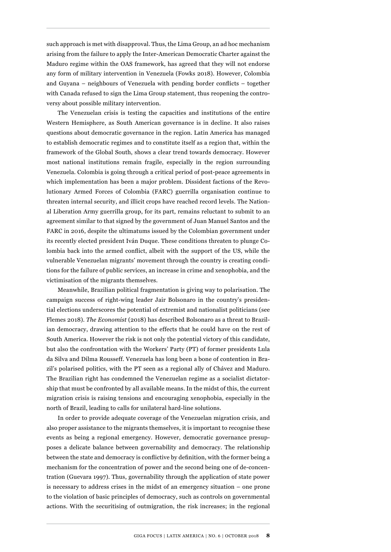such approach is met with disapproval. Thus, the Lima Group, an ad hoc mechanism arising from the failure to apply the Inter-American Democratic Charter against the Maduro regime within the OAS framework, has agreed that they will not endorse any form of military intervention in Venezuela (Fowks 2018). However, Colombia and Guyana – neighbours of Venezuela with pending border conflicts – together with Canada refused to sign the Lima Group statement, thus reopening the controversy about possible military intervention.

The Venezuelan crisis is testing the capacities and institutions of the entire Western Hemisphere, as South American governance is in decline. It also raises questions about democratic governance in the region. Latin America has managed to establish democratic regimes and to constitute itself as a region that, within the framework of the Global South, shows a clear trend towards democracy. However most national institutions remain fragile, especially in the region surrounding Venezuela. Colombia is going through a critical period of post-peace agreements in which implementation has been a major problem. Dissident factions of the Revolutionary Armed Forces of Colombia (FARC) guerrilla organisation continue to threaten internal security, and illicit crops have reached record levels. The National Liberation Army guerrilla group, for its part, remains reluctant to submit to an agreement similar to that signed by the government of Juan Manuel Santos and the FARC in 2016, despite the ultimatums issued by the Colombian government under its recently elected president Iván Duque. These conditions threaten to plunge Colombia back into the armed conflict, albeit with the support of the US, while the vulnerable Venezuelan migrants' movement through the country is creating conditions for the failure of public services, an increase in crime and xenophobia, and the victimisation of the migrants themselves.

Meanwhile, Brazilian political fragmentation is giving way to polarisation. The campaign success of right-wing leader Jair Bolsonaro in the country's presidential elections underscores the potential of extremist and nationalist politicians (see Flemes 2018). *The Economist* (2018) has described Bolsonaro as a threat to Brazilian democracy, drawing attention to the effects that he could have on the rest of South America. However the risk is not only the potential victory of this candidate, but also the confrontation with the Workers' Party (PT) of former presidents Lula da Silva and Dilma Rousseff. Venezuela has long been a bone of contention in Brazil's polarised politics, with the PT seen as a regional ally of Chávez and Maduro. The Brazilian right has condemned the Venezuelan regime as a socialist dictatorship that must be confronted by all available means. In the midst of this, the current migration crisis is raising tensions and encouraging xenophobia, especially in the north of Brazil, leading to calls for unilateral hard-line solutions.

In order to provide adequate coverage of the Venezuelan migration crisis, and also proper assistance to the migrants themselves, it is important to recognise these events as being a regional emergency. However, democratic governance presupposes a delicate balance between governability and democracy. The relationship between the state and democracy is conflictive by definition, with the former being a mechanism for the concentration of power and the second being one of de-concentration (Guevara 1997). Thus, governability through the application of state power is necessary to address crises in the midst of an emergency situation – one prone to the violation of basic principles of democracy, such as controls on governmental actions. With the securitising of outmigration, the risk increases; in the regional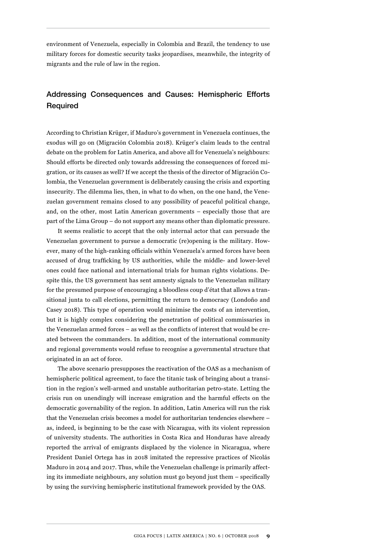environment of Venezuela, especially in Colombia and Brazil, the tendency to use military forces for domestic security tasks jeopardises, meanwhile, the integrity of migrants and the rule of law in the region.

## Addressing Consequences and Causes: Hemispheric Efforts Required

According to Christian Krüger, if Maduro's government in Venezuela continues, the exodus will go on (Migración Colombia 2018). Krüger's claim leads to the central debate on the problem for Latin America, and above all for Venezuela's neighbours: Should efforts be directed only towards addressing the consequences of forced migration, or its causes as well? If we accept the thesis of the director of Migración Colombia, the Venezuelan government is deliberately causing the crisis and exporting insecurity. The dilemma lies, then, in what to do when, on the one hand, the Venezuelan government remains closed to any possibility of peaceful political change, and, on the other, most Latin American governments – especially those that are part of the Lima Group – do not support any means other than diplomatic pressure.

It seems realistic to accept that the only internal actor that can persuade the Venezuelan government to pursue a democratic (re)opening is the military. However, many of the high-ranking officials within Venezuela's armed forces have been accused of drug trafficking by US authorities, while the middle- and lower-level ones could face national and international trials for human rights violations. Despite this, the US government has sent amnesty signals to the Venezuelan military for the presumed purpose of encouraging a bloodless coup d'état that allows a transitional junta to call elections, permitting the return to democracy (Londoño and Casey 2018). This type of operation would minimise the costs of an intervention, but it is highly complex considering the penetration of political commissaries in the Venezuelan armed forces – as well as the conflicts of interest that would be created between the commanders. In addition, most of the international community and regional governments would refuse to recognise a governmental structure that originated in an act of force.

The above scenario presupposes the reactivation of the OAS as a mechanism of hemispheric political agreement, to face the titanic task of bringing about a transition in the region's well-armed and unstable authoritarian petro-state. Letting the crisis run on unendingly will increase emigration and the harmful effects on the democratic governability of the region. In addition, Latin America will run the risk that the Venezuelan crisis becomes a model for authoritarian tendencies elsewhere – as, indeed, is beginning to be the case with Nicaragua, with its violent repression of university students. The authorities in Costa Rica and Honduras have already reported the arrival of emigrants displaced by the violence in Nicaragua, where President Daniel Ortega has in 2018 imitated the repressive practices of Nicolás Maduro in 2014 and 2017. Thus, while the Venezuelan challenge is primarily affecting its immediate neighbours, any solution must go beyond just them – specifically by using the surviving hemispheric institutional framework provided by the OAS.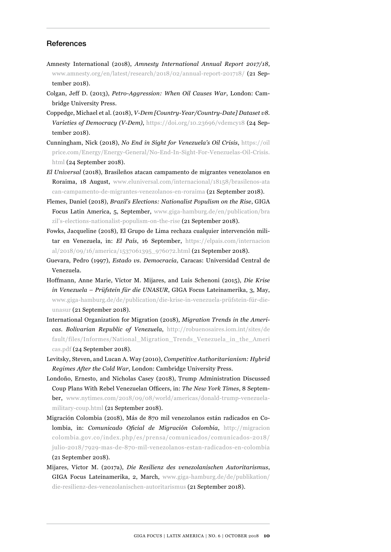## References

- Amnesty International (2018), *Amnesty International Annual Report 2017/18*, [www.amnesty.org/en/latest/research/2018/02/annual-report-201718/](http://www.amnesty.org/en/latest/research/2018/02/annual-report-201718/) (21 September 2018).
- Colgan, Jeff D. (2013), *Petro-Aggression: When Oil Causes War*, London: Cambridge University Press.
- Coppedge, Michael et al. (2018), *V-Dem [Country-Year/Country-Date] Dataset v8. Varieties of Democracy (V-Dem)*, <https://doi.org/10.23696/vdemcy18>(24 September 2018).
- Cunningham, Nick (2018), *No End in Sight for Venezuela's Oil Crisis*, [https://oil](https://oilprice.com/Energy/Energy-General/No-End-In-Sight-For-Venezuelas-Oil-Crisis.html) [price.com/Energy/Energy-General/No-End-In-Sight-For-Venezuelas-Oil-Crisis.](https://oilprice.com/Energy/Energy-General/No-End-In-Sight-For-Venezuelas-Oil-Crisis.html) [html](https://oilprice.com/Energy/Energy-General/No-End-In-Sight-For-Venezuelas-Oil-Crisis.html) (24 September 2018).
- *El Universal* (2018), Brasileños atacan campamento de migrantes venezolanos en Roraima, 18 August, [www.eluniversal.com/internacional/18158/brasilenos-ata](http://www.eluniversal.com/internacional/18158/brasilenos-atacan-campamento-de-migrantes-venezolanos-en-roraima) [can-campamento-de-migrantes-venezolanos-en-roraima](http://www.eluniversal.com/internacional/18158/brasilenos-atacan-campamento-de-migrantes-venezolanos-en-roraima) (21 September 2018).
- Flemes, Daniel (2018), *Brazil's Elections: Nationalist Populism on the Rise*, GIGA Focus Latin America, 5, September, [www.giga-hamburg.de/en/publication/bra](http://www.giga-hamburg.de/en/publication/brazil�s-elections-nationalist-populism-on-the-rise) [zil's-elections-nationalist-populism-on-the-rise](http://www.giga-hamburg.de/en/publication/brazil�s-elections-nationalist-populism-on-the-rise) (21 September 2018).
- Fowks, Jacqueline (2018), El Grupo de Lima rechaza cualquier intervención militar en Venezuela, in: *El País*, 16 September, [https://elpais.com/internacion](https://elpais.com/internacional/2018/09/16/america/1537061395_976072.html) [al/2018/09/16/america/1537061395\\_976072.html](https://elpais.com/internacional/2018/09/16/america/1537061395_976072.html) (21 September 2018).
- Guevara, Pedro (1997), *Estado vs. Democracia*, Caracas: Universidad Central de Venezuela.
- Hoffmann, Anne Marie, Víctor M. Mijares, and Luis Schenoni (2015), *Die Krise in Venezuela – Prüfstein für die UNASUR*, GIGA Focus Lateinamerika, 3, May, [www.giga-hamburg.de/de/publication/die-krise-in-venezuela-prüfstein-für-die](http://www.giga-hamburg.de/de/publication/die-krise-in-venezuela-pr�fstein-f�r-die-unasur)[unasur](http://www.giga-hamburg.de/de/publication/die-krise-in-venezuela-pr�fstein-f�r-die-unasur) (21 September 2018).
- International Organization for Migration (2018), *Migration Trends in the Americas. Bolivarian Republic of Venezuela*, [http://robuenosaires.iom.int/sites/de](http://robuenosaires.iom.int/sites/default/files/Informes/National_Migration_Trends_Venezuela_in_the_Americas.pdf) [fault/files/Informes/National\\_Migration\\_Trends\\_Venezuela\\_in\\_the\\_Ameri](http://robuenosaires.iom.int/sites/default/files/Informes/National_Migration_Trends_Venezuela_in_the_Americas.pdf) [cas.pdf](http://robuenosaires.iom.int/sites/default/files/Informes/National_Migration_Trends_Venezuela_in_the_Americas.pdf) (24 September 2018).
- Levitsky, Steven, and Lucan A. Way (2010), *Competitive Authoritarianism: Hybrid Regimes After the Cold War*, London: Cambridge University Press.
- Londoño, Ernesto, and Nicholas Casey (2018), Trump Administration Discussed Coup Plans With Rebel Venezuelan Officers, in: *The New York Times*, 8 September, [www.nytimes.com/2018/09/08/world/americas/donald-trump-venezuela](http://www.nytimes.com/2018/09/08/world/americas/donald-trump-venezuela-military-coup.html)[military-coup.html](http://www.nytimes.com/2018/09/08/world/americas/donald-trump-venezuela-military-coup.html) (21 September 2018).
- Migración Colombia (2018), Más de 870 mil venezolanos están radicados en Colombia, in: *Comunicado Oficial de Migración Colombia*, [http://migracion](http://migracioncolombia.gov.co/index.php/es/prensa/comunicados/comunicados-2018/julio-2018/7929-mas-de-870-mil-venezolanos-estan-radicados-en-colombia) [colombia.gov.co/index.php/es/prensa/comunicados/comunicados-2018/](http://migracioncolombia.gov.co/index.php/es/prensa/comunicados/comunicados-2018/julio-2018/7929-mas-de-870-mil-venezolanos-estan-radicados-en-colombia) [julio-2018/7929-mas-de-870-mil-venezolanos-estan-radicados-en-colombia](http://migracioncolombia.gov.co/index.php/es/prensa/comunicados/comunicados-2018/julio-2018/7929-mas-de-870-mil-venezolanos-estan-radicados-en-colombia) (21 September 2018).
- Mijares, Víctor M. (2017a), *Die Resilienz des venezolanischen Autoritarismus*, GIGA Focus Lateinamerika, 2, March, [www.giga-hamburg.de/de/publikation/](http://www.giga-hamburg.de/de/publikation/die-resilienz-des-venezolanischen-autoritarismus) [die-resilienz-des-venezolanischen-autoritarismus](http://www.giga-hamburg.de/de/publikation/die-resilienz-des-venezolanischen-autoritarismus) (21 September 2018).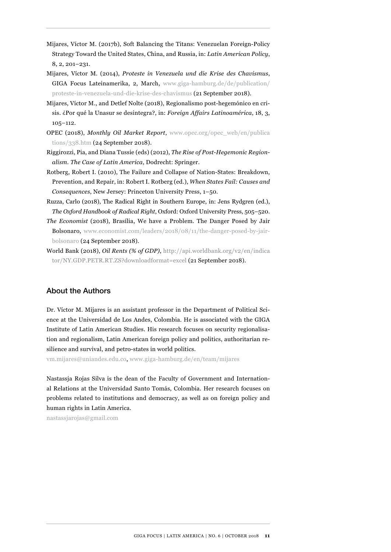- Mijares, Víctor M. (2017b), Soft Balancing the Titans: Venezuelan Foreign-Policy Strategy Toward the United States, China, and Russia, in: *Latin American Policy*, 8, 2, 201–231.
- Mijares, Víctor M. (2014), *Proteste in Venezuela und die Krise des Chavismus*, GIGA Focus Lateinamerika, 2, March, [www.giga-hamburg.de/de/publication/](http://www.giga-hamburg.de/de/publication/proteste-in-venezuela-und-die-krise-des-chavismus) [proteste-in-venezuela-und-die-krise-des-chavismus](http://www.giga-hamburg.de/de/publication/proteste-in-venezuela-und-die-krise-des-chavismus) (21 September 2018).
- Mijares, Víctor M., and Detlef Nolte (2018), Regionalismo post-hegemónico en crisis. ¿Por qué la Unasur se desintegra?, in: *Foreign Affairs Latinoamérica*, 18, 3, 105–112.
- OPEC (2018), *Monthly Oil Market Report*, [www.opec.org/opec\\_web/en/publica](http://www.opec.org/opec_web/en/publications/338.htm)  [tions/338.htm](http://www.opec.org/opec_web/en/publications/338.htm) (24 September 2018).
- Riggirozzi, Pia, and Diana Tussie (eds) (2012), *The Rise of Post-Hegemonic Regionalism. The Case of Latin America*, Dodrecht: Springer.
- Rotberg, Robert I. (2010), The Failure and Collapse of Nation-States: Breakdown, Prevention, and Repair, in: Robert I. Rotberg (ed.), *When States Fail: Causes and Consequences*, New Jersey: Princeton University Press, 1–50.
- Ruzza, Carlo (2018), The Radical Right in Southern Europe, in: Jens Rydgren (ed.), *The Oxford Handbook of Radical Right*, Oxford: Oxford University Press, 505–520.
- *The Economist* (2018), Brasília, We have a Problem. The Danger Posed by Jair Bolsonaro, [www.economist.com/leaders/2018/08/11/the-danger-posed-by-jair](http://www.economist.com/leaders/2018/08/11/the-danger-posed-by-jair-bolsonaro)[bolsonaro](http://www.economist.com/leaders/2018/08/11/the-danger-posed-by-jair-bolsonaro) (24 September 2018).
- World Bank (2018), *Oil Rents (% of GDP)*, [http://api.worldbank.org/v2/en/indica](http://api.worldbank.org/v2/en/indicator/NY.GDP.PETR.RT.ZS?downloadformat=excel) [tor/NY.GDP.PETR.RT.ZS?downloadformat=excel](http://api.worldbank.org/v2/en/indicator/NY.GDP.PETR.RT.ZS?downloadformat=excel) (21 September 2018).

## About the Authors

Dr. Víctor M. Mijares is an assistant professor in the Department of Political Science at the Universidad de Los Andes, Colombia. He is associated with the GIGA Institute of Latin American Studies. His research focuses on security regionalisation and regionalism, Latin American foreign policy and politics, authoritarian resilience and survival, and petro-states in world politics.

vm.mijares@uniandes.edu.co, [www.giga-hamburg.de/en/team/mijares](http://www.giga-hamburg.de/en/team/mijares)

Nastassja Rojas Silva is the dean of the Faculty of Government and International Relations at the Universidad Santo Tomás, Colombia. Her research focuses on problems related to institutions and democracy, as well as on foreign policy and human rights in Latin America.

nastassjarojas@gmail.com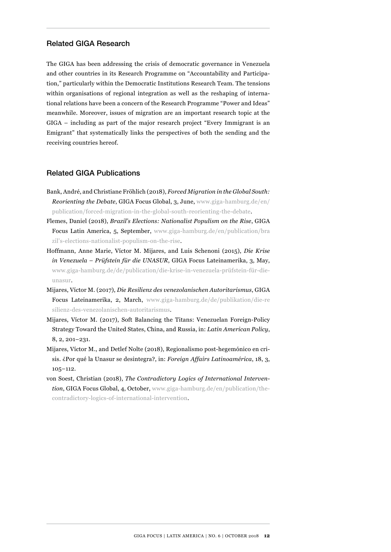## Related GIGA Research

The GIGA has been addressing the crisis of democratic governance in Venezuela and other countries in its Research Programme on "Accountability and Participation," particularly within the Democratic Institutions Research Team. The tensions within organisations of regional integration as well as the reshaping of international relations have been a concern of the Research Programme "Power and Ideas" meanwhile. Moreover, issues of migration are an important research topic at the GIGA – including as part of the major research project "Every Immigrant is an Emigrant" that systematically links the perspectives of both the sending and the receiving countries hereof.

#### Related GIGA Publications

- Bank, André, and Christiane Fröhlich (2018), *Forced Migration in the Global South: Reorienting the Debate*, GIGA Focus Global, 3, June, [www.giga-hamburg.de/en/](http://www.giga-hamburg.de/en/publication/forced-migration-in-the-global-south-reorienting-the-debate) [publication/forced-migration-in-the-global-south-reorienting-the-debate.](http://www.giga-hamburg.de/en/publication/forced-migration-in-the-global-south-reorienting-the-debate)
- Flemes, Daniel (2018), *Brazil's Elections: Nationalist Populism on the Rise*, GIGA Focus Latin America, 5, September, [www.giga-hamburg.de/en/publication/bra](http://www.giga-hamburg.de/en/publication/brazil�s-elections-nationalist-populism-on-the-rise) [zil's-elections-nationalist-populism-on-the-rise](http://www.giga-hamburg.de/en/publication/brazil�s-elections-nationalist-populism-on-the-rise).
- Hoffmann, Anne Marie, Víctor M. Mijares, and Luis Schenoni (2015), *Die Krise in Venezuela – Prüfstein für die UNASUR*, GIGA Focus Lateinamerika, 3, May, [www.giga-hamburg.de/de/publication/die-krise-in-venezuela-prüfstein-für-die](http://www.giga-hamburg.de/de/publication/die-krise-in-venezuela-pr�fstein-f�r-die-unasur)[unasur](http://www.giga-hamburg.de/de/publication/die-krise-in-venezuela-pr�fstein-f�r-die-unasur).
- Mijares, Víctor M. (2017), *Die Resilienz des venezolanischen Autoritarismus*, GIGA Focus Lateinamerika, 2, March, [www.giga-hamburg.de/de/publikation/die-re](http://www.giga-hamburg.de/de/publikation/die-resilienz-des-venezolanischen-autoritarismus) [silienz-des-venezolanischen-autoritarismus.](http://www.giga-hamburg.de/de/publikation/die-resilienz-des-venezolanischen-autoritarismus)
- Mijares, Víctor M. (2017), Soft Balancing the Titans: Venezuelan Foreign-Policy Strategy Toward the United States, China, and Russia, in: *Latin American Policy*, 8, 2, 201–231.
- Mijares, Víctor M., and Detlef Nolte (2018), Regionalismo post-hegemónico en crisis. ¿Por qué la Unasur se desintegra?, in: *Foreign Affairs Latinoamérica*, 18, 3, 105–112.
- von Soest, Christian (2018), *The Contradictory Logics of International Intervention*, GIGA Focus Global, 4, October, [www.giga-hamburg.de/en/publication/the](http://www.giga-hamburg.de/en/publication/the-contradictory-logics-of-international-intervention)[contradictory-logics-of-international-intervention.](http://www.giga-hamburg.de/en/publication/the-contradictory-logics-of-international-intervention)